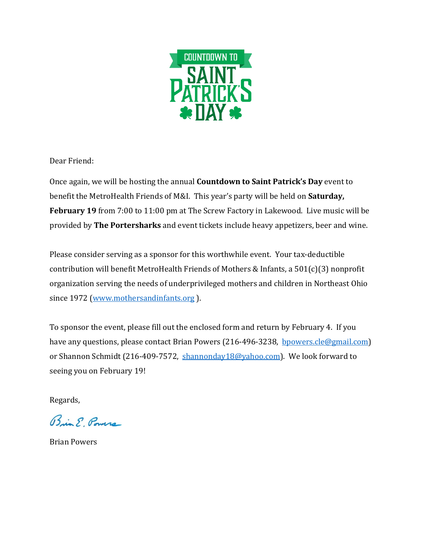

Dear Friend:

Once again, we will be hosting the annual **Countdown to Saint Patrick's Day** event to benefit the MetroHealth Friends of M&I. This year's party will be held on **Saturday, February 19** from 7:00 to 11:00 pm at The Screw Factory in Lakewood. Live music will be provided by **The Portersharks** and event tickets include heavy appetizers, beer and wine.

Please consider serving as a sponsor for this worthwhile event. Your tax-deductible contribution will benefit MetroHealth Friends of Mothers & Infants, a 501(c)(3) nonprofit organization serving the needs of underprivileged mothers and children in Northeast Ohio since 1972 [\(www.mothersandinfants.org](http://www.mothersandinfants.org/)).

To sponsor the event, please fill out the enclosed form and return by February 4. If you have any questions, please contact Brian Powers (216-496-3238, [bpowers.cle@gmail.com\)](mailto:bpowers.cle@gmail.com) or Shannon Schmidt (216-409-7572, [shannonday18@yahoo.com\)](mailto:shannonday18@yahoo.com). We look forward to seeing you on February 19!

Regards,

Bin & Powers

Brian Powers